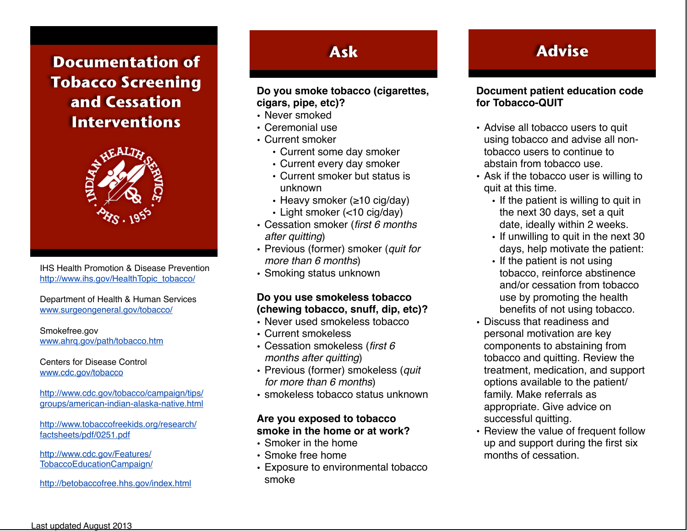**Documentation of Tobacco Screening and Cessation Interventions**



IHS Health Promotion & Disease Prevention [http://www.ihs.gov/HealthTopic\\_tobacco/](http://www.ihs.gov/HealthTopic_tobacco/)

Department of Health & Human Services [www.surgeongeneral.gov/tobacco/](http://www.surgeongeneral.gov/tobacco/)

Smokefree.gov [www.ahrq.gov/path/tobacco.htm](http://www.ahrq.gov/path/tobacco.htm)

Centers for Disease Control [www.cdc.gov/tobacco](http://www.cdc.gov/tobacco/news/QuitSmoking.htm) 

[http://www.cdc.gov/tobacco/campaign/tips/](http://www.cdc.gov/tobacco/campaign/tips/groups/american-indian-alaska-native.html) [groups/american-indian-alaska-native.html](http://www.cdc.gov/tobacco/campaign/tips/groups/american-indian-alaska-native.html)

[http://www.tobaccofreekids.org/research/](http://www.tobaccofreekids.org/research/factsheets/pdf/0251.pdf) [factsheets/pdf/0251.pdf](http://www.tobaccofreekids.org/research/factsheets/pdf/0251.pdf)

[http://www.cdc.gov/Features/](http://www.cdc.gov/Features/TobaccoEducationCampaign/) [TobaccoEducationCampaign/](http://www.cdc.gov/Features/TobaccoEducationCampaign/)

<http://betobaccofree.hhs.gov/index.html>

## **Ask**

#### **Do you smoke tobacco (cigarettes, cigars, pipe, etc)?**

- Never smoked
- Ceremonial use
- Current smoker
	- Current some day smoker
	- Current every day smoker
	- Current smoker but status is unknown
	- Heavy smoker (≥10 cig/day)
	- Light smoker (<10 cig/day)
- Cessation smoker (*first 6 months after quitting*)
- Previous (former) smoker (*quit for more than 6 months*)
- Smoking status unknown

#### **Do you use smokeless tobacco (chewing tobacco, snuff, dip, etc)?**

- Never used smokeless tobacco
- Current smokeless
- Cessation smokeless (*first 6 months after quitting*)
- Previous (former) smokeless (*quit for more than 6 months*)
- smokeless tobacco status unknown

#### **Are you exposed to tobacco smoke in the home or at work?**

- Smoker in the home
- Smoke free home
- Exposure to environmental tobacco smoke

## **Advise**

#### **Document patient education code for Tobacco-QUIT**

- Advise all tobacco users to quit using tobacco and advise all nontobacco users to continue to abstain from tobacco use.
- Ask if the tobacco user is willing to quit at this time.
	- If the patient is willing to quit in the next 30 days, set a quit date, ideally within 2 weeks.
	- If unwilling to quit in the next 30 days, help motivate the patient:
	- If the patient is not using tobacco, reinforce abstinence and/or cessation from tobacco use by promoting the health benefits of not using tobacco.
- Discuss that readiness and personal motivation are key components to abstaining from tobacco and quitting. Review the treatment, medication, and support options available to the patient/ family. Make referrals as appropriate. Give advice on successful quitting.
- Review the value of frequent follow up and support during the first six months of cessation.